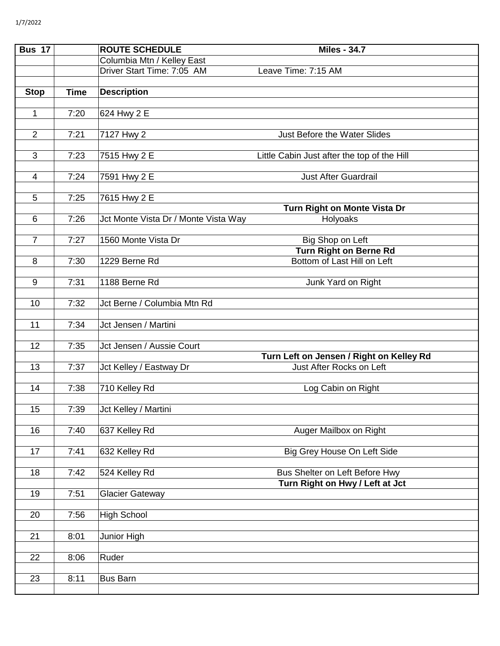| Bus $17$         |             | <b>ROUTE SCHEDULE</b>                | <b>Miles - 34.7</b>                         |
|------------------|-------------|--------------------------------------|---------------------------------------------|
|                  |             | Columbia Mtn / Kelley East           |                                             |
|                  |             | Driver Start Time: 7:05 AM           | Leave Time: 7:15 AM                         |
|                  |             |                                      |                                             |
| <b>Stop</b>      | <b>Time</b> | <b>Description</b>                   |                                             |
|                  |             |                                      |                                             |
| $\mathbf{1}$     | 7:20        | 624 Hwy 2 E                          |                                             |
| $\overline{2}$   | 7:21        | 7127 Hwy 2                           | Just Before the Water Slides                |
|                  |             |                                      |                                             |
| $\overline{3}$   | 7:23        | 7515 Hwy 2 E                         | Little Cabin Just after the top of the Hill |
|                  |             |                                      |                                             |
| $\overline{4}$   | 7:24        | 7591 Hwy 2 E                         | <b>Just After Guardrail</b>                 |
|                  |             |                                      |                                             |
| 5                | 7:25        | 7615 Hwy 2 E                         |                                             |
|                  |             |                                      | Turn Right on Monte Vista Dr                |
| 6                | 7:26        | Jct Monte Vista Dr / Monte Vista Way | Holyoaks                                    |
| $\overline{7}$   | 7:27        | 1560 Monte Vista Dr                  | Big Shop on Left                            |
|                  |             |                                      | Turn Right on Berne Rd                      |
| 8                | 7:30        | 1229 Berne Rd                        | Bottom of Last Hill on Left                 |
|                  |             |                                      |                                             |
| $\boldsymbol{9}$ | 7:31        | 1188 Berne Rd                        | Junk Yard on Right                          |
|                  |             |                                      |                                             |
| 10               | 7:32        | Jct Berne / Columbia Mtn Rd          |                                             |
| 11               | 7:34        | Jct Jensen / Martini                 |                                             |
|                  |             |                                      |                                             |
| 12               | 7:35        | Jct Jensen / Aussie Court            |                                             |
|                  |             |                                      | Turn Left on Jensen / Right on Kelley Rd    |
| 13               | 7:37        | Jct Kelley / Eastway Dr              | Just After Rocks on Left                    |
|                  |             |                                      |                                             |
| 14               | 7:38        | 710 Kelley Rd                        | Log Cabin on Right                          |
|                  |             |                                      |                                             |
| 15 <sub>1</sub>  | 7:39        | Jct Kelley / Martini                 |                                             |
| 16               | 7:40        | 637 Kelley Rd                        | Auger Mailbox on Right                      |
|                  |             |                                      |                                             |
| 17               | 7:41        | 632 Kelley Rd                        | Big Grey House On Left Side                 |
|                  |             |                                      |                                             |
| 18               | 7:42        | 524 Kelley Rd                        | Bus Shelter on Left Before Hwy              |
|                  |             |                                      | Turn Right on Hwy / Left at Jct             |
| 19               | 7:51        | Glacier Gateway                      |                                             |
| 20               |             | <b>High School</b>                   |                                             |
|                  | 7:56        |                                      |                                             |
| 21               | 8:01        | Junior High                          |                                             |
|                  |             |                                      |                                             |
| 22               | 8:06        | Ruder                                |                                             |
|                  |             |                                      |                                             |
| 23               | 8:11        | <b>Bus Barn</b>                      |                                             |
|                  |             |                                      |                                             |